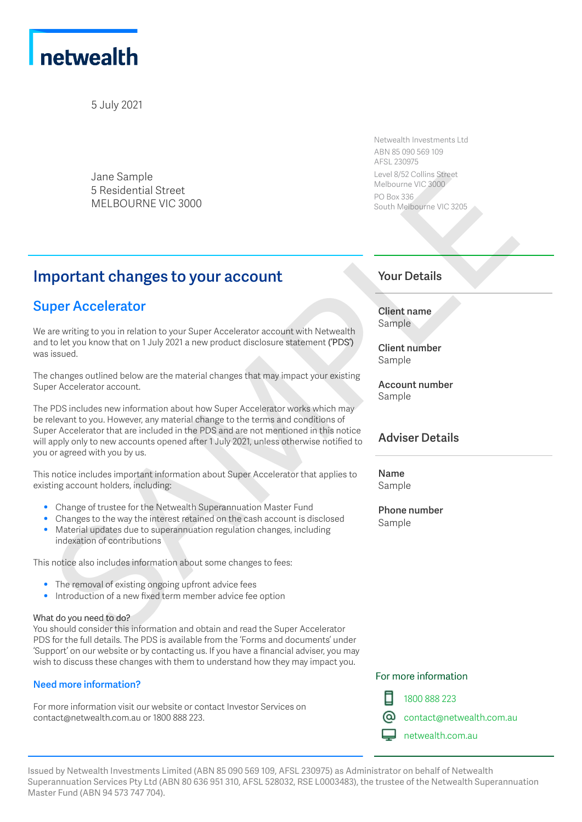

5 July 2021

Jane Sample 5 Residential Street MELBOURNE VIC 3000

Netwealth Investments Ltd ABN 85 090 569 109 AFSL 230975 Level 8/52 Collins Street Melbourne VIC 3000 PO Box 336 South Melbourne VIC 3205

# **Important changes to your account**

## **Super Accelerator**

We are writing to you in relation to your Super Accelerator account with Netwealth and to let you know that on 1 July 2021 a new product disclosure statement ('PDS') was issued.

The changes outlined below are the material changes that may impact your existing Super Accelerator account.

The PDS includes new information about how Super Accelerator works which may be relevant to you. However, any material change to the terms and conditions of Super Accelerator that are included in the PDS and are not mentioned in this notice will apply only to new accounts opened after 1 July 2021, unless otherwise notified to you or agreed with you by us. Jane Sample<br>
Sesidential Street<br>
Sesidential Street<br>
MELBOURNE VIC 3000<br>
MELBOURNE VIC 3000<br>
MELBOURNE VIC 3000<br>
MELBOURNE VIC 3000<br>
NOUT account<br>
Sesingle the system resident of the system of the system of the system of

This notice includes important information about Super Accelerator that applies to existing account holders, including:

- Change of trustee for the Netwealth Superannuation Master Fund
- Changes to the way the interest retained on the cash account is disclosed
- Material updates due to superannuation regulation changes, including indexation of contributions

This notice also includes information about some changes to fees:

- The removal of existing ongoing upfront advice fees<br>• Introduction of a new fixed term member advice fee
- Introduction of a new fixed term member advice fee option

#### What do you need to do?

You should consider this information and obtain and read the Super Accelerator PDS for the full details. The PDS is available from the 'Forms and documents' under 'Support' on our website or by contacting us. If you have a financial adviser, you may wish to discuss these changes with them to understand how they may impact you.

### **Need more information?**

For more information visit our website or contact Investor Services on contact@netwealth.com.au or 1800 888 223.

### **Your Details**

**Client name** Sample

**Client number** Sample

**Account number** Sample

## **Adviser Details**

**Name** Sample

**Phone number** Sample

### For more information



1800 888 223

contact@netwealth.com.au

netwealth.com.au

Issued by Netwealth Investments Limited (ABN 85 090 569 109, AFSL 230975) as Administrator on behalf of Netwealth Superannuation Services Pty Ltd (ABN 80 636 951 310, AFSL 528032, RSE L0003483), the trustee of the Netwealth Superannuation Master Fund (ABN 94 573 747 704).